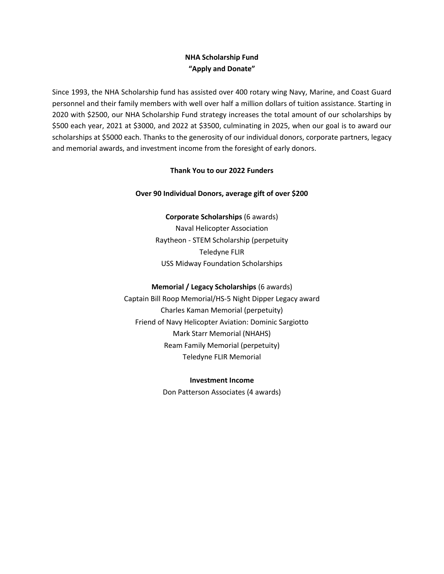# **NHA Scholarship Fund "Apply and Donate"**

Since 1993, the NHA Scholarship fund has assisted over 400 rotary wing Navy, Marine, and Coast Guard personnel and their family members with well over half a million dollars of tuition assistance. Starting in 2020 with \$2500, our NHA Scholarship Fund strategy increases the total amount of our scholarships by \$500 each year, 2021 at \$3000, and 2022 at \$3500, culminating in 2025, when our goal is to award our scholarships at \$5000 each. Thanks to the generosity of our individual donors, corporate partners, legacy and memorial awards, and investment income from the foresight of early donors.

#### **Thank You to our 2022 Funders**

## **Over 90 Individual Donors, average gift of over \$200**

**Corporate Scholarships** (6 awards) Naval Helicopter Association Raytheon - STEM Scholarship (perpetuity Teledyne FLIR USS Midway Foundation Scholarships

## **Memorial / Legacy Scholarships** (6 awards)

Captain Bill Roop Memorial/HS-5 Night Dipper Legacy award Charles Kaman Memorial (perpetuity) Friend of Navy Helicopter Aviation: Dominic Sargiotto Mark Starr Memorial (NHAHS) Ream Family Memorial (perpetuity) Teledyne FLIR Memorial

#### **Investment Income**

Don Patterson Associates (4 awards)